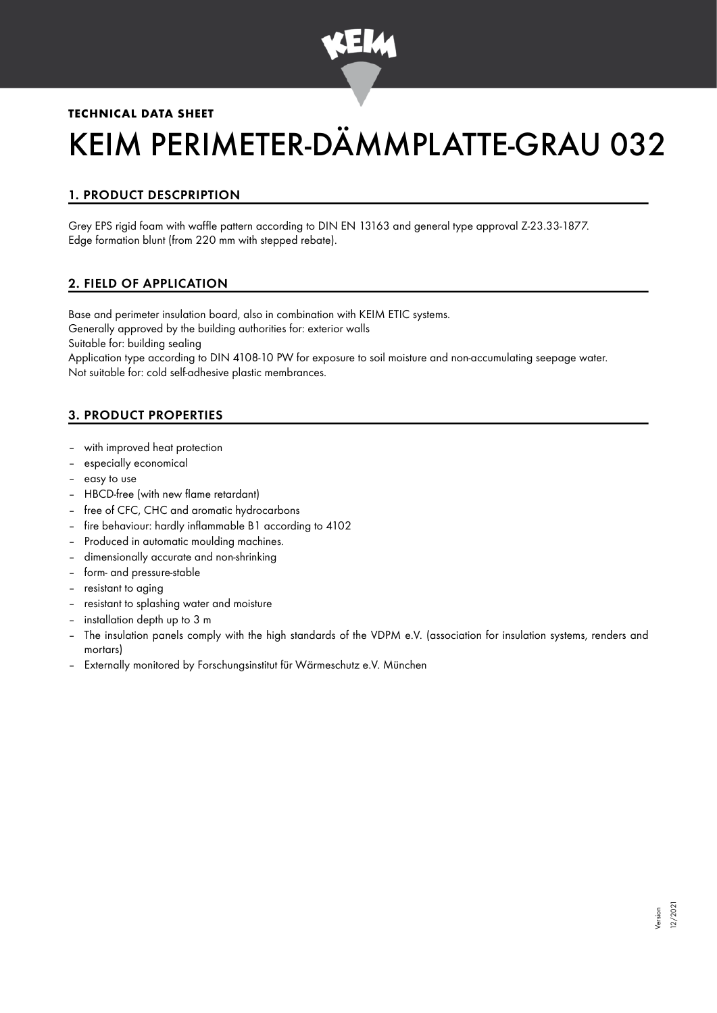

## **TECHNICAL DATA SHEET**

# KEIM PERIMETER-DÄMMPLATTE-GRAU 032

# 1. PRODUCT DESCPRIPTION

Grey EPS rigid foam with waffle pattern according to DIN EN 13163 and general type approval Z-23.33-1877. Edge formation blunt (from 220 mm with stepped rebate).

## 2. FIELD OF APPLICATION

Base and perimeter insulation board, also in combination with KEIM ETIC systems. Generally approved by the building authorities for: exterior walls Suitable for: building sealing

Application type according to DIN 4108-10 PW for exposure to soil moisture and non-accumulating seepage water. Not suitable for: cold self-adhesive plastic membrances.

# 3. PRODUCT PROPERTIES

- with improved heat protection
- especially economical
- easy to use
- HBCD-free (with new flame retardant)
- free of CFC, CHC and aromatic hydrocarbons
- fire behaviour: hardly inflammable B1 according to 4102
- Produced in automatic moulding machines.
- dimensionally accurate and non-shrinking
- form- and pressure-stable
- resistant to aging
- resistant to splashing water and moisture
- installation depth up to 3 m
- The insulation panels comply with the high standards of the VDPM e.V. (association for insulation systems, renders and mortars)
- Externally monitored by Forschungsinstitut für Wärmeschutz e.V. München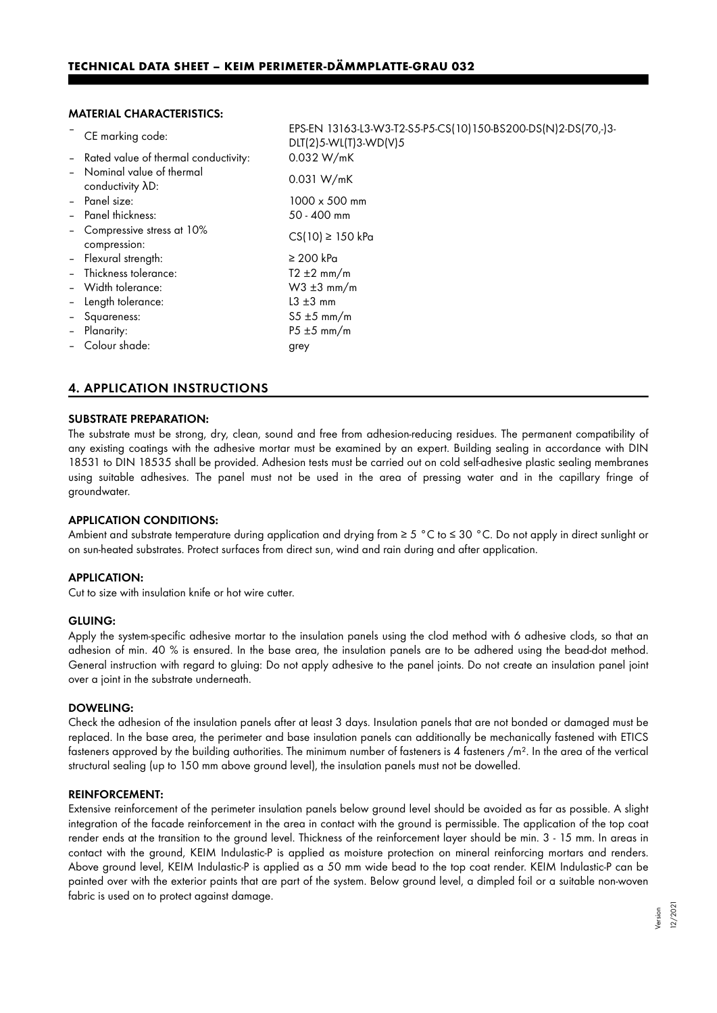#### MATERIAL CHARACTERISTICS:

|                              | CE marking code:                               | EPS-EN 13163-L3-W3-T2-S5-P5-CS(10)150-BS200-DS(N)2-DS(70,-)3-<br>DLT(2)5-WL(T)3-WD(V)5 |
|------------------------------|------------------------------------------------|----------------------------------------------------------------------------------------|
|                              | - Rated value of thermal conductivity:         | 0.032 W/mK                                                                             |
|                              | - Nominal value of thermal<br>conductivity AD: | 0.031 W/mK                                                                             |
|                              | - Panel size:                                  | $1000 \times 500$ mm                                                                   |
|                              | - Panel thickness:                             | 50 - 400 mm                                                                            |
|                              | - Compressive stress at 10%<br>compression:    | $CS(10) \ge 150$ kPa                                                                   |
|                              | - Flexural strength:                           | $\geq 200$ kPa                                                                         |
|                              | Thickness tolerance:                           | $T2 \pm 2$ mm/m                                                                        |
|                              | - Width tolerance:                             | $W3 \pm 3$ mm/m                                                                        |
| $\qquad \qquad \blacksquare$ | Length tolerance:                              | $L3 \pm 3$ mm                                                                          |
|                              | - Squareness:                                  | $55 \pm 5$ mm/m                                                                        |
|                              | - Planarity:                                   | $P5 \pm 5$ mm/m                                                                        |
|                              | Colour shade:                                  | grey                                                                                   |
|                              |                                                |                                                                                        |

## 4. APPLICATION INSTRUCTIONS

#### SUBSTRATE PREPARATION:

The substrate must be strong, dry, clean, sound and free from adhesion-reducing residues. The permanent compatibility of any existing coatings with the adhesive mortar must be examined by an expert. Building sealing in accordance with DIN 18531 to DIN 18535 shall be provided. Adhesion tests must be carried out on cold self-adhesive plastic sealing membranes using suitable adhesives. The panel must not be used in the area of pressing water and in the capillary fringe of groundwater.

#### APPLICATION CONDITIONS:

Ambient and substrate temperature during application and drying from ≥ 5 °C to ≤ 30 °C. Do not apply in direct sunlight or on sun-heated substrates. Protect surfaces from direct sun, wind and rain during and after application.

#### APPLICATION:

Cut to size with insulation knife or hot wire cutter.

#### GLUING:

Apply the system-specific adhesive mortar to the insulation panels using the clod method with 6 adhesive clods, so that an adhesion of min. 40 % is ensured. In the base area, the insulation panels are to be adhered using the bead-dot method. General instruction with regard to gluing: Do not apply adhesive to the panel joints. Do not create an insulation panel joint over a joint in the substrate underneath.

#### DOWELING:

Check the adhesion of the insulation panels after at least 3 days. Insulation panels that are not bonded or damaged must be replaced. In the base area, the perimeter and base insulation panels can additionally be mechanically fastened with ETICS fasteners approved by the building authorities. The minimum number of fasteners is 4 fasteners  $/m<sup>2</sup>$ . In the area of the vertical structural sealing (up to 150 mm above ground level), the insulation panels must not be dowelled.

#### REINFORCEMENT:

Extensive reinforcement of the perimeter insulation panels below ground level should be avoided as far as possible. A slight integration of the facade reinforcement in the area in contact with the ground is permissible. The application of the top coat render ends at the transition to the ground level. Thickness of the reinforcement layer should be min. 3 - 15 mm. In areas in contact with the ground, KEIM Indulastic-P is applied as moisture protection on mineral reinforcing mortars and renders. Above ground level, KEIM Indulastic-P is applied as a 50 mm wide bead to the top coat render. KEIM Indulastic-P can be painted over with the exterior paints that are part of the system. Below ground level, a dimpled foil or a suitable non-woven fabric is used on to protect against damage.